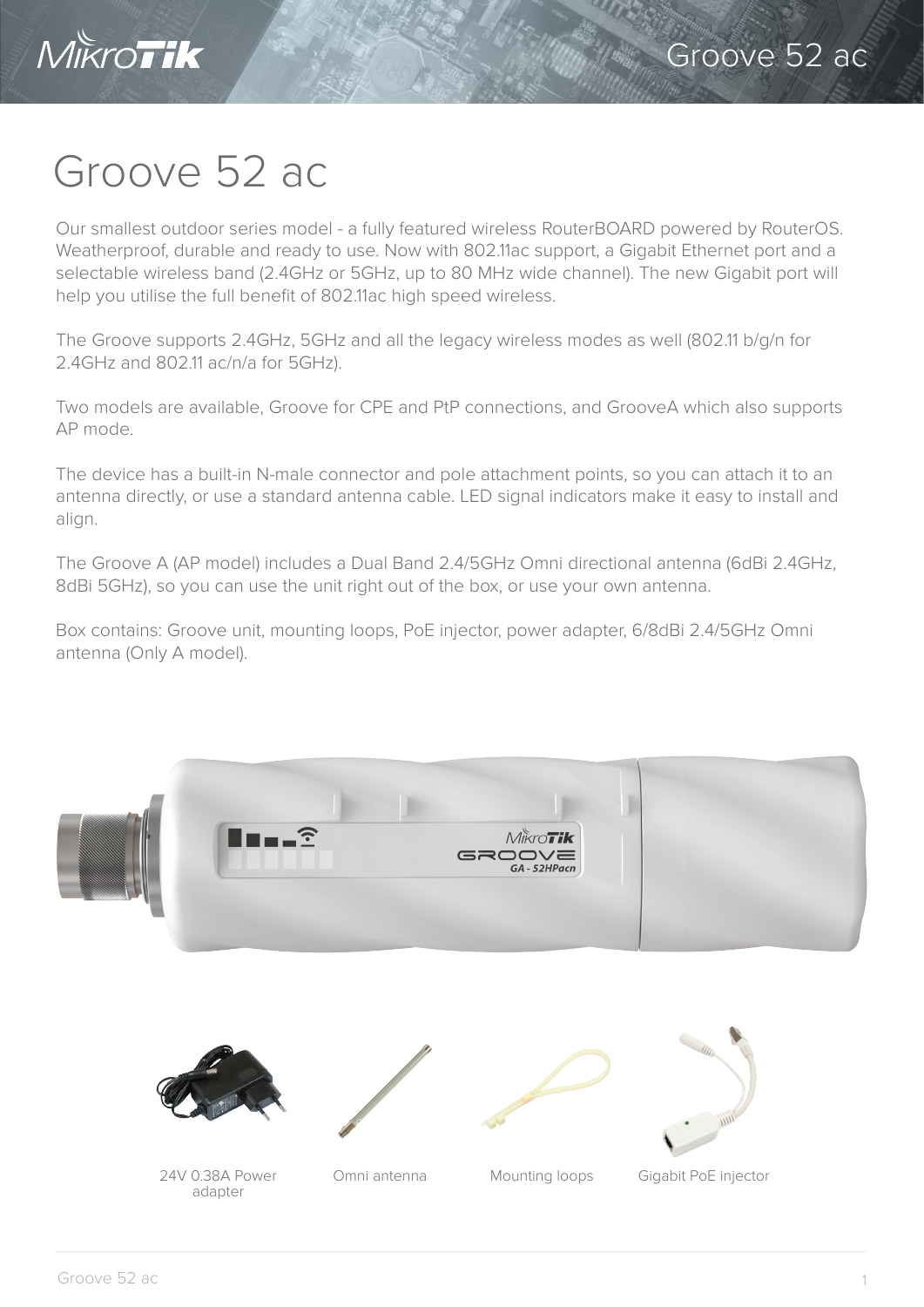

## Groove 52 ac

Our smallest outdoor series model - a fully featured wireless RouterBOARD powered by RouterOS. Weatherproof, durable and ready to use. Now with 802.11ac support, a Gigabit Ethernet port and a selectable wireless band (2.4GHz or 5GHz, up to 80 MHz wide channel). The new Gigabit port will help you utilise the full benefit of 802.11ac high speed wireless.

The Groove supports 2.4GHz, 5GHz and all the legacy wireless modes as well (802.11 b/g/n for 2.4GHz and 802.11 ac/n/a for 5GHz).

Two models are available, Groove for CPE and PtP connections, and GrooveA which also supports AP mode.

The device has a built-in N-male connector and pole attachment points, so you can attach it to an antenna directly, or use a standard antenna cable. LED signal indicators make it easy to install and align.

The Groove A (AP model) includes a Dual Band 2.4/5GHz Omni directional antenna (6dBi 2.4GHz, 8dBi 5GHz), so you can use the unit right out of the box, or use your own antenna.

Box contains: Groove unit, mounting loops, PoE injector, power adapter, 6/8dBi 2.4/5GHz Omni antenna (Only A model).